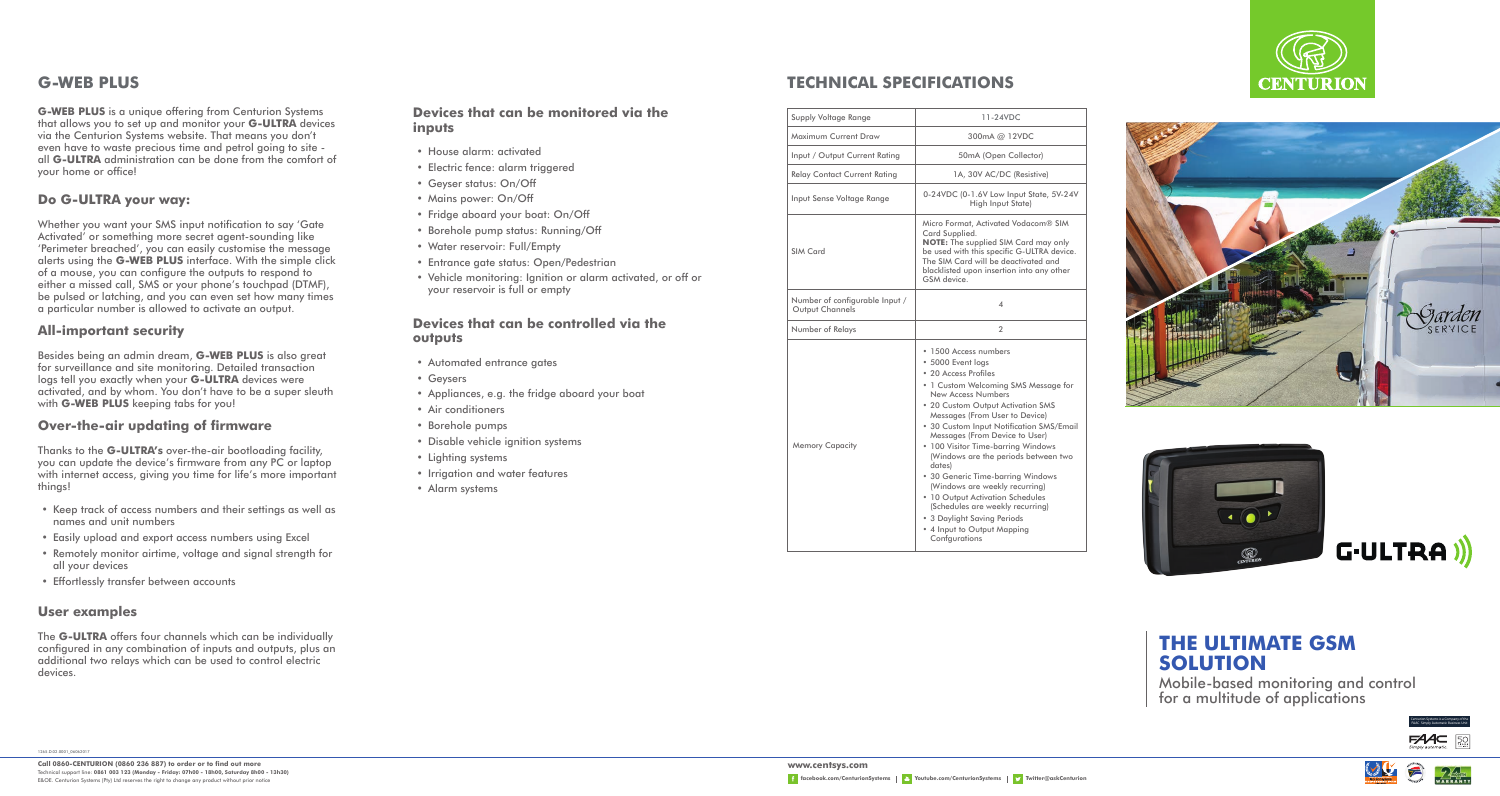

# **G-WEB PLUS TECHNICAL SPECIFICATIONS**

**G-WEB PLUS** is a unique offering from Centurion Systems that allows you to set up and monitor your **G-ULTRA** devices via the Centurion Systems website. That means you don't even have to waste precious time and petrol going to site all **G-ULTRA** administration can be done from the comfort of your home or office!

# **Do G-ULTRA your way:**

Whether you want your SMS input notification to say 'Gate Activated' or something more secret agent-sounding like 'Perimeter breached', you can easily customise the message alerts using the **G-WEB PLUS** interface. With the simple click of a mouse, you can configure the outputs to respond to either a missed call, SMS or your phone's touchpad (DTMF), be pulsed or latching, and you can even set how many times a particular number is allowed to activate an output.

#### **All-important security**

Besides being an admin dream, **G-WEB PLUS** is also great for surveillance and site monitoring. Detailed transaction logs tell you exactly when your **G-ULTRA** devices were activated, and by whom. You don't have to be a super sleuth with **G-WEB PLUS** keeping tabs for you!

#### **Over-the-air updating of firmware**

Thanks to the **G-ULTRA's** over-the-air bootloading facility, you can update the device's firmware from any PC or laptop with internet access, giving you time for life's more important things!

- Keep track of access numbers and their settings as well as names and unit numbers
- Easily upload and export access numbers using Excel
- Remotely monitor airtime, voltage and signal strength for all your devices
- Effortlessly transfer between accounts

### **User examples**

The **G-ULTRA** offers four channels which can be individually configured in any combination of inputs and outputs, plus an additional two relays which can be used to control electric devices.

# **Devices that can be monitored via the inputs**

- House alarm: activated
- Electric fence: alarm triggered
- Geyser status: On/Off
- Mains power: On/Off
- Fridge aboard your boat: On/Off
- Borehole pump status: Running/Off
- Water reservoir: Full/Empty
- Entrance gate status: Open/Pedestrian
- Vehicle monitoring: Ignition or alarm activated, or off or your reservoir is full or empty

#### **Devices that can be controlled via the outputs**

- Automated entrance gates
- Geysers
- Appliances, e.g. the fridge aboard your boat
- Air conditioners
- Borehole pumps
- Disable vehicle ignition systems
- Lighting systems
- Irrigation and water features
- Alarm systems

| Supply Voltage Range                              | 11-24VDC                                                                                                                                                                                                                                                                                                                                                                                                                                                                                                                                                                                                    |
|---------------------------------------------------|-------------------------------------------------------------------------------------------------------------------------------------------------------------------------------------------------------------------------------------------------------------------------------------------------------------------------------------------------------------------------------------------------------------------------------------------------------------------------------------------------------------------------------------------------------------------------------------------------------------|
| Maximum Current Draw                              | 300mA @ 12VDC                                                                                                                                                                                                                                                                                                                                                                                                                                                                                                                                                                                               |
| Input / Output Current Rating                     | 50mA (Open Collector)                                                                                                                                                                                                                                                                                                                                                                                                                                                                                                                                                                                       |
| <b>Relay Contact Current Rating</b>               | 1A, 30V AC/DC (Resistive)                                                                                                                                                                                                                                                                                                                                                                                                                                                                                                                                                                                   |
| Input Sense Voltage Range                         | 0-24VDC (0-1.6V Low Input State, 5V-24V<br>High Input State)                                                                                                                                                                                                                                                                                                                                                                                                                                                                                                                                                |
| <b>SIM Card</b>                                   | Micro Format, Activated Vodacom® SIM<br>Card Supplied.<br><b>NOTE:</b> The supplied SIM Card may only<br>be used with this specific G-ULTRA device.<br>The SIM Card will be deactivated and<br>blacklisted upon insertion into any other<br>GSM device.                                                                                                                                                                                                                                                                                                                                                     |
| Number of configurable Input /<br>Output Channels | $\Delta$                                                                                                                                                                                                                                                                                                                                                                                                                                                                                                                                                                                                    |
| Number of Relays                                  | $\mathfrak{D}$                                                                                                                                                                                                                                                                                                                                                                                                                                                                                                                                                                                              |
| <b>Memory Capacity</b>                            | • 1500 Access numbers<br>* 5000 Event logs<br>• 20 Access Profiles<br>• 1 Custom Welcoming SMS Message for<br>New Access Numbers<br>. 20 Custom Output Activation SMS<br>Messages (From User to Device)<br>. 30 Custom Input Notification SMS/Email<br>Messages (From Device to User)<br>. 100 Visitor Time-barring Windows<br>(Windows are the periods between two<br>dates)<br>• 30 Generic Time-barring Windows<br>(Windows are weekly recurring)<br>. 10 Output Activation Schedules<br>(Schedules are weekly recurrina)<br>. 3 Daylight Saving Periods<br>• 4 Input to Output Mapping<br>Confgurations |





# **THE ULTIMATE GSM SOLUTION**

Mobile-based monitoring and control for a multitude of applications



1265.D.02.0001\_06062017